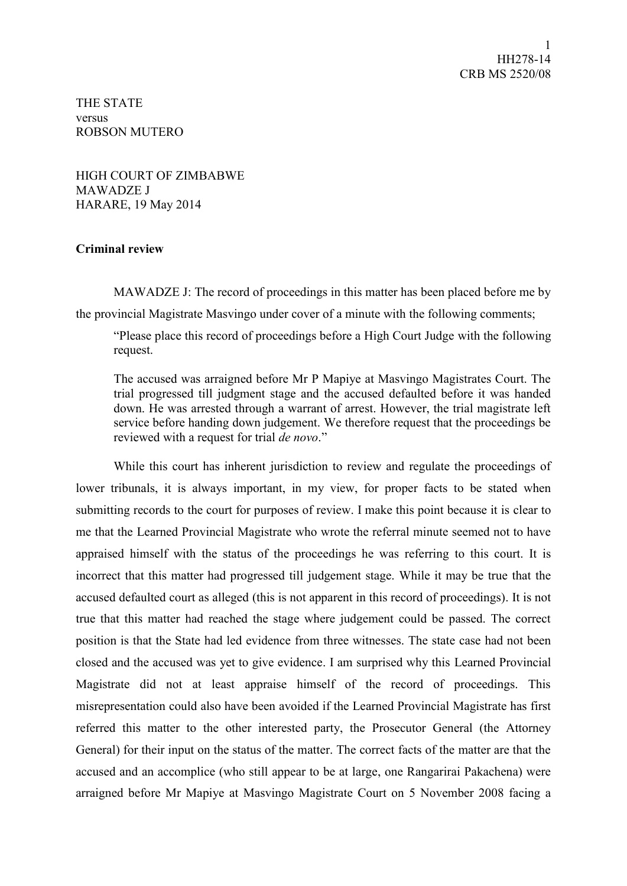THE STATE versus ROBSON MUTERO

HIGH COURT OF ZIMBABWE MAWADZE J HARARE, 19 May 2014

## **Criminal review**

MAWADZE J: The record of proceedings in this matter has been placed before me by the provincial Magistrate Masvingo under cover of a minute with the following comments;

"Please place this record of proceedings before a High Court Judge with the following request.

The accused was arraigned before Mr P Mapiye at Masvingo Magistrates Court. The trial progressed till judgment stage and the accused defaulted before it was handed down. He was arrested through a warrant of arrest. However, the trial magistrate left service before handing down judgement. We therefore request that the proceedings be reviewed with a request for trial *de novo*."

While this court has inherent jurisdiction to review and regulate the proceedings of lower tribunals, it is always important, in my view, for proper facts to be stated when submitting records to the court for purposes of review. I make this point because it is clear to me that the Learned Provincial Magistrate who wrote the referral minute seemed not to have appraised himself with the status of the proceedings he was referring to this court. It is incorrect that this matter had progressed till judgement stage. While it may be true that the accused defaulted court as alleged (this is not apparent in this record of proceedings). It is not true that this matter had reached the stage where judgement could be passed. The correct position is that the State had led evidence from three witnesses. The state case had not been closed and the accused was yet to give evidence. I am surprised why this Learned Provincial Magistrate did not at least appraise himself of the record of proceedings. This misrepresentation could also have been avoided if the Learned Provincial Magistrate has first referred this matter to the other interested party, the Prosecutor General (the Attorney General) for their input on the status of the matter. The correct facts of the matter are that the accused and an accomplice (who still appear to be at large, one Rangarirai Pakachena) were arraigned before Mr Mapiye at Masvingo Magistrate Court on 5 November 2008 facing a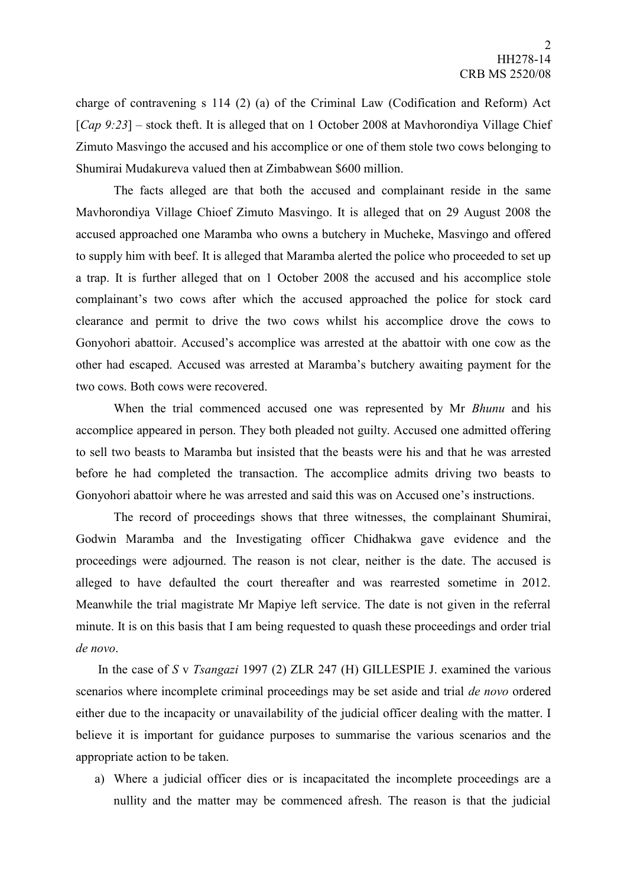charge of contravening s 114 (2) (a) of the Criminal Law (Codification and Reform) Act [*Cap 9:23*] – stock theft. It is alleged that on 1 October 2008 at Mavhorondiya Village Chief Zimuto Masvingo the accused and his accomplice or one of them stole two cows belonging to Shumirai Mudakureva valued then at Zimbabwean \$600 million.

The facts alleged are that both the accused and complainant reside in the same Mavhorondiya Village Chioef Zimuto Masvingo. It is alleged that on 29 August 2008 the accused approached one Maramba who owns a butchery in Mucheke, Masvingo and offered to supply him with beef. It is alleged that Maramba alerted the police who proceeded to set up a trap. It is further alleged that on 1 October 2008 the accused and his accomplice stole complainant's two cows after which the accused approached the police for stock card clearance and permit to drive the two cows whilst his accomplice drove the cows to Gonyohori abattoir. Accused's accomplice was arrested at the abattoir with one cow as the other had escaped. Accused was arrested at Maramba's butchery awaiting payment for the two cows. Both cows were recovered.

When the trial commenced accused one was represented by Mr *Bhunu* and his accomplice appeared in person. They both pleaded not guilty. Accused one admitted offering to sell two beasts to Maramba but insisted that the beasts were his and that he was arrested before he had completed the transaction. The accomplice admits driving two beasts to Gonyohori abattoir where he was arrested and said this was on Accused one's instructions.

The record of proceedings shows that three witnesses, the complainant Shumirai, Godwin Maramba and the Investigating officer Chidhakwa gave evidence and the proceedings were adjourned. The reason is not clear, neither is the date. The accused is alleged to have defaulted the court thereafter and was rearrested sometime in 2012. Meanwhile the trial magistrate Mr Mapiye left service. The date is not given in the referral minute. It is on this basis that I am being requested to quash these proceedings and order trial *de novo*.

In the case of *S* v *Tsangazi* 1997 (2) ZLR 247 (H) GILLESPIE J. examined the various scenarios where incomplete criminal proceedings may be set aside and trial *de novo* ordered either due to the incapacity or unavailability of the judicial officer dealing with the matter. I believe it is important for guidance purposes to summarise the various scenarios and the appropriate action to be taken.

a) Where a judicial officer dies or is incapacitated the incomplete proceedings are a nullity and the matter may be commenced afresh. The reason is that the judicial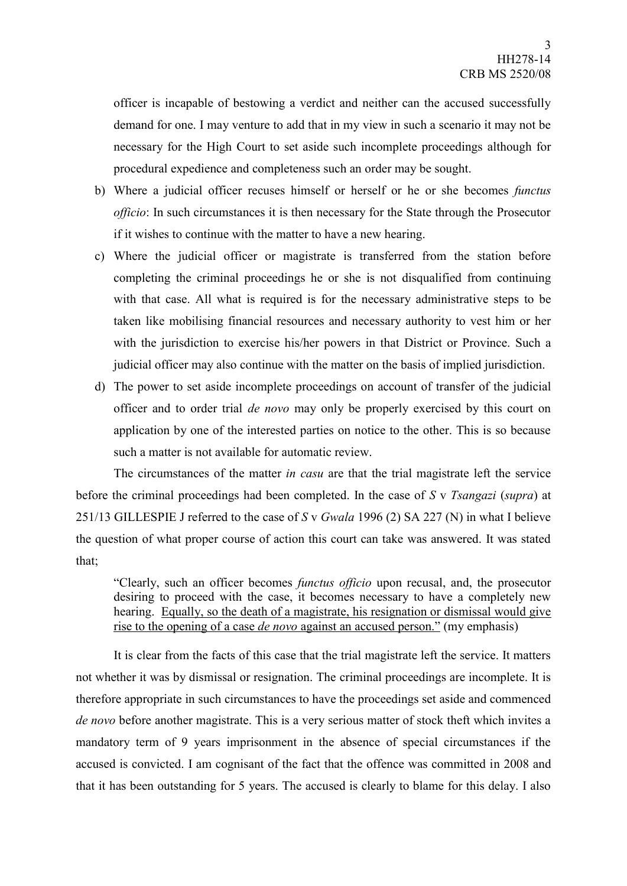officer is incapable of bestowing a verdict and neither can the accused successfully demand for one. I may venture to add that in my view in such a scenario it may not be necessary for the High Court to set aside such incomplete proceedings although for procedural expedience and completeness such an order may be sought.

- b) Where a judicial officer recuses himself or herself or he or she becomes *functus officio*: In such circumstances it is then necessary for the State through the Prosecutor if it wishes to continue with the matter to have a new hearing.
- c) Where the judicial officer or magistrate is transferred from the station before completing the criminal proceedings he or she is not disqualified from continuing with that case. All what is required is for the necessary administrative steps to be taken like mobilising financial resources and necessary authority to vest him or her with the jurisdiction to exercise his/her powers in that District or Province. Such a judicial officer may also continue with the matter on the basis of implied jurisdiction.
- d) The power to set aside incomplete proceedings on account of transfer of the judicial officer and to order trial *de novo* may only be properly exercised by this court on application by one of the interested parties on notice to the other. This is so because such a matter is not available for automatic review.

The circumstances of the matter *in casu* are that the trial magistrate left the service before the criminal proceedings had been completed. In the case of *S* v *Tsangazi* (*supra*) at 251/13 GILLESPIE J referred to the case of *S* v *Gwala* 1996 (2) SA 227 (N) in what I believe the question of what proper course of action this court can take was answered. It was stated that;

"Clearly, such an officer becomes *functus officio* upon recusal, and, the prosecutor desiring to proceed with the case, it becomes necessary to have a completely new hearing. Equally, so the death of a magistrate, his resignation or dismissal would give rise to the opening of a case *de novo* against an accused person." (my emphasis)

It is clear from the facts of this case that the trial magistrate left the service. It matters not whether it was by dismissal or resignation. The criminal proceedings are incomplete. It is therefore appropriate in such circumstances to have the proceedings set aside and commenced *de novo* before another magistrate. This is a very serious matter of stock theft which invites a mandatory term of 9 years imprisonment in the absence of special circumstances if the accused is convicted. I am cognisant of the fact that the offence was committed in 2008 and that it has been outstanding for 5 years. The accused is clearly to blame for this delay. I also